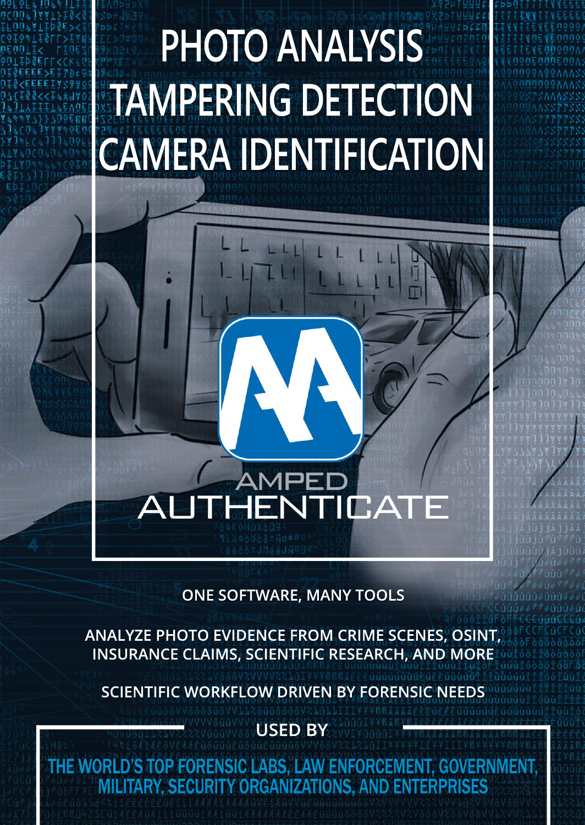## **PHOTO ANALYSIS TAMPERING DETECTION CAMERA IDENTIFICATION**

# **HENTICAT**

AMPE

#### **ONE SOFTWARE, MANY TOOLS**

**ANALYZE PHOTO EVIDENCE FROM CRIME SCENES, OSINT, INSURANCE CLAIMS, SCIENTIFIC RESEARCH, AND MORE**

**SCIENTIFIC WORKFLOW DRIVEN BY FORENSIC NEE** 

**USED BY**

THE WORLD'S TOP FORENSIC LABS, LAW ENFORCEMENT, GOVERNMENT, MILITARY, SECURITY ORGANIZATIONS, AND ENTERPRISES